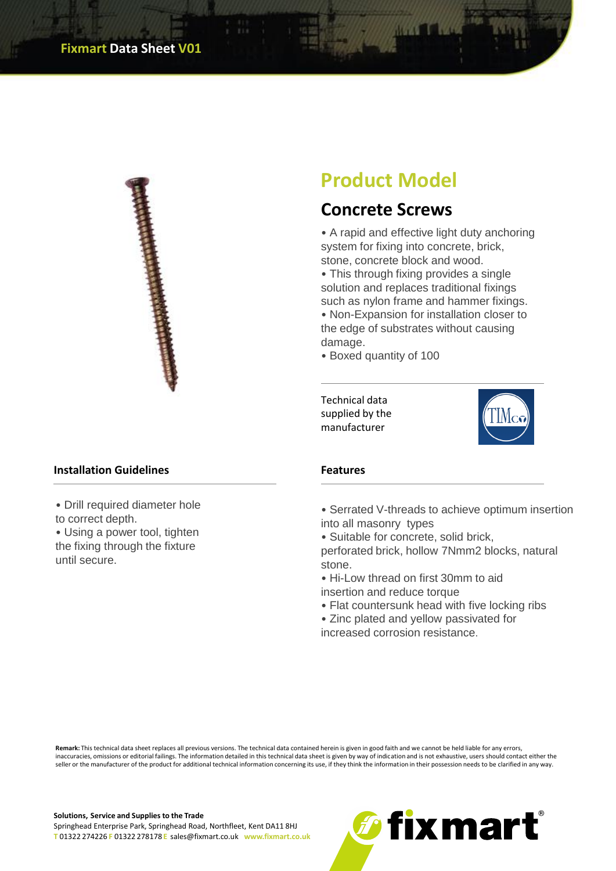

## **Product Model**

## **Concrete Screws**

• A rapid and effective light duty anchoring system for fixing into concrete, brick, stone, concrete block and wood.

• This through fixing provides a single solution and replaces traditional fixings such as nylon frame and hammer fixings.

• Non-Expansion for installation closer to the edge of substrates without causing damage.

• Boxed quantity of 100

Technical data supplied by the manufacturer



• Serrated V-threads to achieve optimum insertion into all masonry types

• Suitable for concrete, solid brick,

perforated brick, hollow 7Nmm2 blocks, natural stone.

- Hi-Low thread on first 30mm to aid insertion and reduce torque
- Flat countersunk head with five locking ribs

• Zinc plated and yellow passivated for increased corrosion resistance.

**Remark:** This technical data sheet replaces all previous versions. The technical data contained herein is given in good faith and we cannot be held liable for any errors, inaccuracies, omissions or editorial failings. The information detailed in this technical data sheet is given by way of indication and is not exhaustive, users should contact either the seller or the manufacturer of the product for additional technical information concerning its use, if they think the information in their possession needs to be clarified in any way.

## **Installation Guidelines Features**

• Drill required diameter hole to correct depth.

• Using a power tool, tighten the fixing through the fixture until secure.

**Solutions, Service and Supplies to the Trade**

Springhead Enterprise Park, Springhead Road, Northfleet, Kent DA11 8HJ **T** 01322 274226 **F** 01322 278178 **E** sales@fixmart.co.uk **www.fixmart.co.uk**